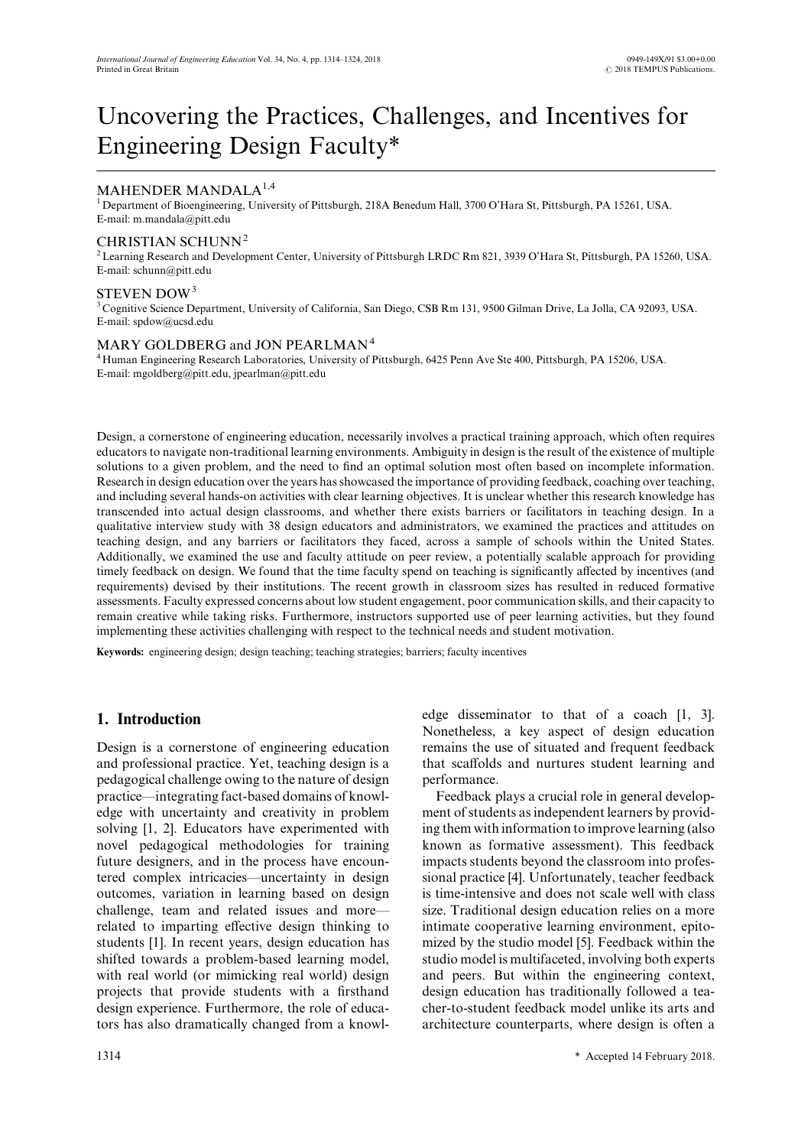# Uncovering the Practices, Challenges, and Incentives for Engineering Design Faculty\*

# MAHENDER MANDALA<sup>1,4</sup>

<sup>1</sup> Department of Bioengineering, University of Pittsburgh, 218A Benedum Hall, 3700 O'Hara St, Pittsburgh, PA 15261, USA. E-mail: m.mandala@pitt.edu

## CHRISTIAN SCHUNN<sup>2</sup>

<sup>2</sup> Learning Research and Development Center, University of Pittsburgh LRDC Rm 821, 3939 O'Hara St, Pittsburgh, PA 15260, USA. E-mail: schunn@pitt.edu

## STEVEN DOW<sup>3</sup>

<sup>3</sup> Cognitive Science Department, University of California, San Diego, CSB Rm 131, 9500 Gilman Drive, La Jolla, CA 92093, USA. E-mail: spdow@ucsd.edu

## MARY GOLDBERG and JON PEARLMAN<sup>4</sup>

<sup>4</sup> Human Engineering Research Laboratories, University of Pittsburgh, 6425 Penn Ave Ste 400, Pittsburgh, PA 15206, USA. E-mail: mgoldberg@pitt.edu, jpearlman@pitt.edu

Design, a cornerstone of engineering education, necessarily involves a practical training approach, which often requires educators to navigate non-traditional learning environments. Ambiguity in design is the result of the existence of multiple solutions to a given problem, and the need to find an optimal solution most often based on incomplete information. Research in design education over the years has showcased the importance of providing feedback, coaching over teaching, and including several hands-on activities with clear learning objectives. It is unclear whether this research knowledge has transcended into actual design classrooms, and whether there exists barriers or facilitators in teaching design. In a qualitative interview study with 38 design educators and administrators, we examined the practices and attitudes on teaching design, and any barriers or facilitators they faced, across a sample of schools within the United States. Additionally, we examined the use and faculty attitude on peer review, a potentially scalable approach for providing timely feedback on design. We found that the time faculty spend on teaching is significantly affected by incentives (and requirements) devised by their institutions. The recent growth in classroom sizes has resulted in reduced formative assessments. Faculty expressed concerns about low student engagement, poor communication skills, and their capacity to remain creative while taking risks. Furthermore, instructors supported use of peer learning activities, but they found implementing these activities challenging with respect to the technical needs and student motivation.

**Keywords:** engineering design; design teaching; teaching strategies; barriers; faculty incentives

## **1. Introduction**

Design is a cornerstone of engineering education and professional practice. Yet, teaching design is a pedagogical challenge owing to the nature of design practice—integrating fact-based domains of knowledge with uncertainty and creativity in problem solving [1, 2]. Educators have experimented with novel pedagogical methodologies for training future designers, and in the process have encountered complex intricacies—uncertainty in design outcomes, variation in learning based on design challenge, team and related issues and more related to imparting effective design thinking to students [1]. In recent years, design education has shifted towards a problem-based learning model, with real world (or mimicking real world) design projects that provide students with a firsthand design experience. Furthermore, the role of educators has also dramatically changed from a knowledge disseminator to that of a coach [1, 3]. Nonetheless, a key aspect of design education remains the use of situated and frequent feedback that scaffolds and nurtures student learning and performance.

Feedback plays a crucial role in general development of students as independent learners by providing them with information to improve learning (also known as formative assessment). This feedback impacts students beyond the classroom into professional practice [4]. Unfortunately, teacher feedback is time-intensive and does not scale well with class size. Traditional design education relies on a more intimate cooperative learning environment, epitomized by the studio model [5]. Feedback within the studio model is multifaceted, involving both experts and peers. But within the engineering context, design education has traditionally followed a teacher-to-student feedback model unlike its arts and architecture counterparts, where design is often a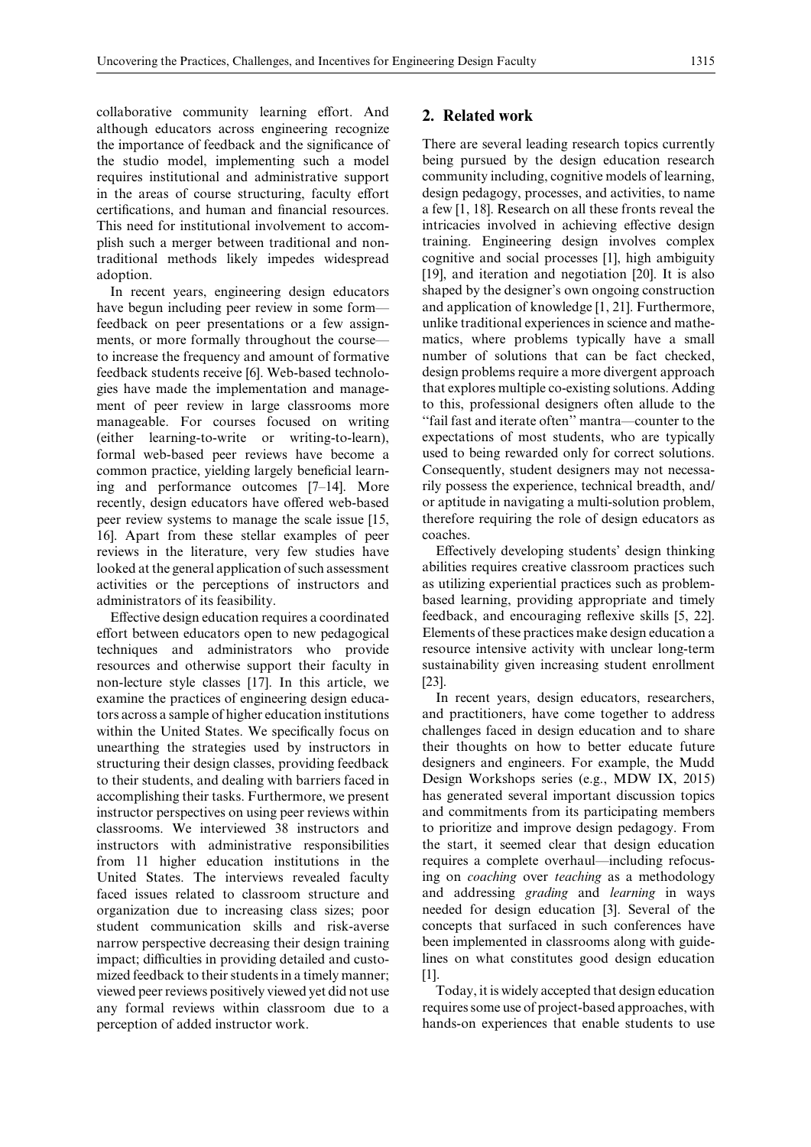collaborative community learning effort. And although educators across engineering recognize the importance of feedback and the significance of the studio model, implementing such a model requires institutional and administrative support in the areas of course structuring, faculty effort certifications, and human and financial resources. This need for institutional involvement to accomplish such a merger between traditional and nontraditional methods likely impedes widespread adoption.

In recent years, engineering design educators have begun including peer review in some form feedback on peer presentations or a few assignments, or more formally throughout the course to increase the frequency and amount of formative feedback students receive [6]. Web-based technologies have made the implementation and management of peer review in large classrooms more manageable. For courses focused on writing (either learning-to-write or writing-to-learn), formal web-based peer reviews have become a common practice, yielding largely beneficial learning and performance outcomes [7–14]. More recently, design educators have offered web-based peer review systems to manage the scale issue [15, 16]. Apart from these stellar examples of peer reviews in the literature, very few studies have looked at the general application of such assessment activities or the perceptions of instructors and administrators of its feasibility.

Effective design education requires a coordinated effort between educators open to new pedagogical techniques and administrators who provide resources and otherwise support their faculty in non-lecture style classes [17]. In this article, we examine the practices of engineering design educators across a sample of higher education institutions within the United States. We specifically focus on unearthing the strategies used by instructors in structuring their design classes, providing feedback to their students, and dealing with barriers faced in accomplishing their tasks. Furthermore, we present instructor perspectives on using peer reviews within classrooms. We interviewed 38 instructors and instructors with administrative responsibilities from 11 higher education institutions in the United States. The interviews revealed faculty faced issues related to classroom structure and organization due to increasing class sizes; poor student communication skills and risk-averse narrow perspective decreasing their design training impact; difficulties in providing detailed and customized feedback to their students in a timely manner; viewed peer reviews positively viewed yet did not use any formal reviews within classroom due to a perception of added instructor work.

## **2. Related work**

There are several leading research topics currently being pursued by the design education research community including, cognitive models of learning, design pedagogy, processes, and activities, to name a few [1, 18]. Research on all these fronts reveal the intricacies involved in achieving effective design training. Engineering design involves complex cognitive and social processes [1], high ambiguity [19], and iteration and negotiation [20]. It is also shaped by the designer's own ongoing construction and application of knowledge [1, 21]. Furthermore, unlike traditional experiences in science and mathematics, where problems typically have a small number of solutions that can be fact checked, design problems require a more divergent approach that explores multiple co-existing solutions. Adding to this, professional designers often allude to the ''fail fast and iterate often'' mantra—counter to the expectations of most students, who are typically used to being rewarded only for correct solutions. Consequently, student designers may not necessarily possess the experience, technical breadth, and/ or aptitude in navigating a multi-solution problem, therefore requiring the role of design educators as coaches.

Effectively developing students' design thinking abilities requires creative classroom practices such as utilizing experiential practices such as problembased learning, providing appropriate and timely feedback, and encouraging reflexive skills [5, 22]. Elements of these practices make design education a resource intensive activity with unclear long-term sustainability given increasing student enrollment [23].

In recent years, design educators, researchers, and practitioners, have come together to address challenges faced in design education and to share their thoughts on how to better educate future designers and engineers. For example, the Mudd Design Workshops series (e.g., MDW IX, 2015) has generated several important discussion topics and commitments from its participating members to prioritize and improve design pedagogy. From the start, it seemed clear that design education requires a complete overhaul—including refocusing on *coaching* over *teaching* as a methodology and addressing *grading* and *learning* in ways needed for design education [3]. Several of the concepts that surfaced in such conferences have been implemented in classrooms along with guidelines on what constitutes good design education [1].

Today, it is widely accepted that design education requires some use of project-based approaches, with hands-on experiences that enable students to use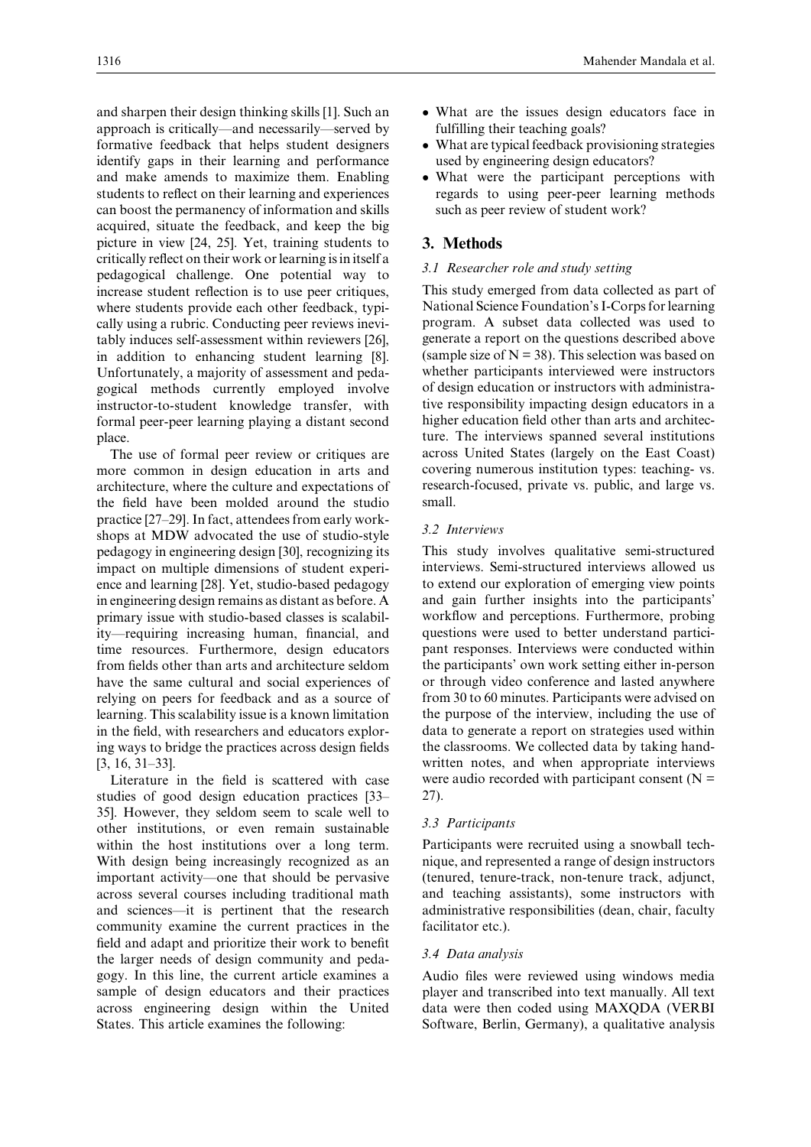and sharpen their design thinking skills [1]. Such an approach is critically—and necessarily—served by formative feedback that helps student designers identify gaps in their learning and performance and make amends to maximize them. Enabling students to reflect on their learning and experiences can boost the permanency of information and skills acquired, situate the feedback, and keep the big picture in view [24, 25]. Yet, training students to critically reflect on their work or learning is in itself a pedagogical challenge. One potential way to increase student reflection is to use peer critiques, where students provide each other feedback, typically using a rubric. Conducting peer reviews inevitably induces self-assessment within reviewers [26], in addition to enhancing student learning [8]. Unfortunately, a majority of assessment and pedagogical methods currently employed involve instructor-to-student knowledge transfer, with formal peer-peer learning playing a distant second place.

The use of formal peer review or critiques are more common in design education in arts and architecture, where the culture and expectations of the field have been molded around the studio practice [27–29]. In fact, attendees from early workshops at MDW advocated the use of studio-style pedagogy in engineering design [30], recognizing its impact on multiple dimensions of student experience and learning [28]. Yet, studio-based pedagogy in engineering design remains as distant as before. A primary issue with studio-based classes is scalability—requiring increasing human, financial, and time resources. Furthermore, design educators from fields other than arts and architecture seldom have the same cultural and social experiences of relying on peers for feedback and as a source of learning. This scalability issue is a known limitation in the field, with researchers and educators exploring ways to bridge the practices across design fields [3, 16, 31–33].

Literature in the field is scattered with case studies of good design education practices [33– 35]. However, they seldom seem to scale well to other institutions, or even remain sustainable within the host institutions over a long term. With design being increasingly recognized as an important activity—one that should be pervasive across several courses including traditional math and sciences—it is pertinent that the research community examine the current practices in the field and adapt and prioritize their work to benefit the larger needs of design community and pedagogy. In this line, the current article examines a sample of design educators and their practices across engineering design within the United States. This article examines the following:

- ✏ What are the issues design educators face in fulfilling their teaching goals?
- ✏ What are typical feedback provisioning strategies used by engineering design educators?
- ✏ What were the participant perceptions with regards to using peer-peer learning methods such as peer review of student work?

## **3. Methods**

#### *3.1 Researcher role and study setting*

This study emerged from data collected as part of National Science Foundation's I-Corps for learning program. A subset data collected was used to generate a report on the questions described above (sample size of  $N = 38$ ). This selection was based on whether participants interviewed were instructors of design education or instructors with administrative responsibility impacting design educators in a higher education field other than arts and architecture. The interviews spanned several institutions across United States (largely on the East Coast) covering numerous institution types: teaching- vs. research-focused, private vs. public, and large vs. small.

#### *3.2 Interviews*

This study involves qualitative semi-structured interviews. Semi-structured interviews allowed us to extend our exploration of emerging view points and gain further insights into the participants' workflow and perceptions. Furthermore, probing questions were used to better understand participant responses. Interviews were conducted within the participants' own work setting either in-person or through video conference and lasted anywhere from 30 to 60 minutes. Participants were advised on the purpose of the interview, including the use of data to generate a report on strategies used within the classrooms. We collected data by taking handwritten notes, and when appropriate interviews were audio recorded with participant consent  $(N =$ 27).

#### *3.3 Participants*

Participants were recruited using a snowball technique, and represented a range of design instructors (tenured, tenure-track, non-tenure track, adjunct, and teaching assistants), some instructors with administrative responsibilities (dean, chair, faculty facilitator etc.).

#### *3.4 Data analysis*

Audio files were reviewed using windows media player and transcribed into text manually. All text data were then coded using MAXQDA (VERBI Software, Berlin, Germany), a qualitative analysis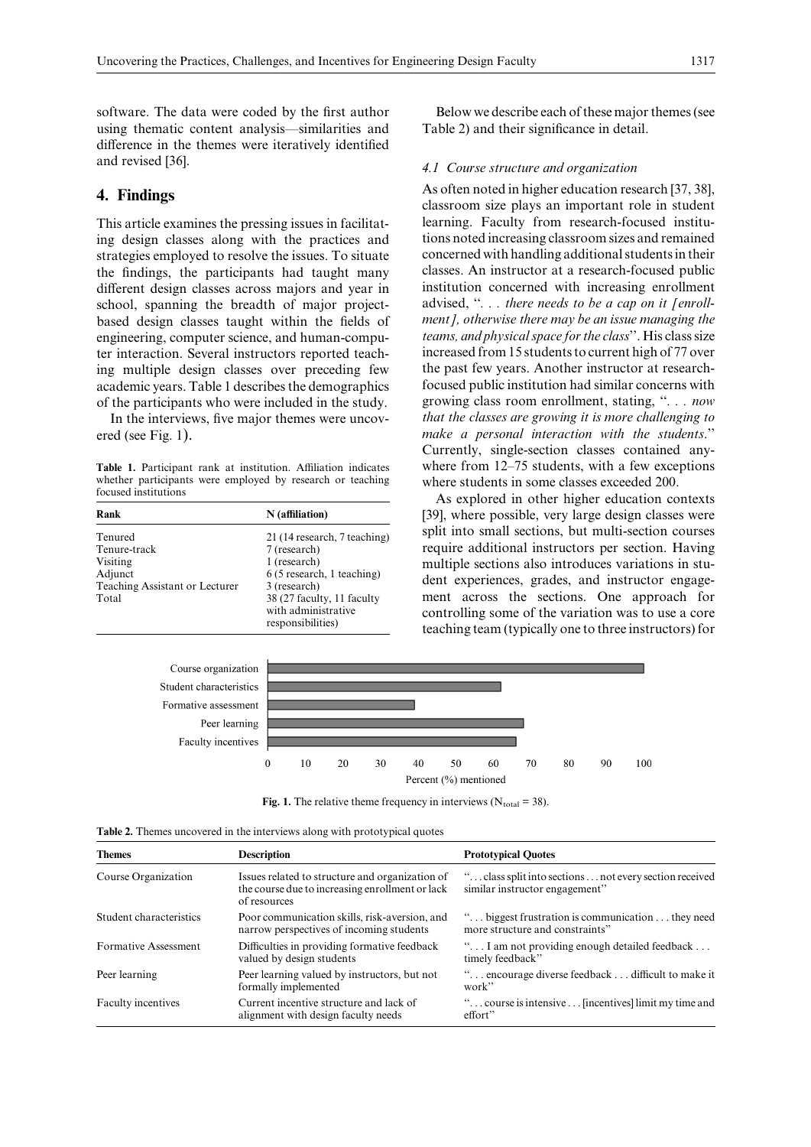software. The data were coded by the first author using thematic content analysis—similarities and difference in the themes were iteratively identified and revised [36].

## **4. Findings**

This article examines the pressing issues in facilitating design classes along with the practices and strategies employed to resolve the issues. To situate the findings, the participants had taught many different design classes across majors and year in school, spanning the breadth of major projectbased design classes taught within the fields of engineering, computer science, and human-computer interaction. Several instructors reported teaching multiple design classes over preceding few academic years. Table 1 describes the demographics of the participants who were included in the study.

In the interviews, five major themes were uncovered (see Fig. 1).

Table 1. Participant rank at institution. Affiliation indicates whether participants were employed by research or teaching focused institutions

| Rank                                                                                      | N (affiliation)                                                                                                                                                                      |
|-------------------------------------------------------------------------------------------|--------------------------------------------------------------------------------------------------------------------------------------------------------------------------------------|
| Tenured<br>Tenure-track<br>Visiting<br>Adjunct<br>Teaching Assistant or Lecturer<br>Total | 21 (14 research, 7 teaching)<br>7 (research)<br>1 (research)<br>6 (5 research, 1 teaching)<br>3 (research)<br>38 (27 faculty, 11 faculty<br>with administrative<br>responsibilities) |

Below we describe each of these major themes (see Table 2) and their significance in detail.

#### *4.1 Course structure and organization*

As often noted in higher education research [37, 38], classroom size plays an important role in student learning. Faculty from research-focused institutions noted increasing classroom sizes and remained concerned with handling additional students in their classes. An instructor at a research-focused public institution concerned with increasing enrollment advised, ''*. . . there needs to be a cap on it [enrollment], otherwise there may be an issue managing the teams, and physical space for the class*''. His class size increased from 15 students to current high of 77 over the past few years. Another instructor at researchfocused public institution had similar concerns with growing class room enrollment, stating, ''*. . . now that the classes are growing it is more challenging to make a personal interaction with the students*.'' Currently, single-section classes contained anywhere from 12–75 students, with a few exceptions where students in some classes exceeded 200.

As explored in other higher education contexts [39], where possible, very large design classes were split into small sections, but multi-section courses require additional instructors per section. Having multiple sections also introduces variations in student experiences, grades, and instructor engagement across the sections. One approach for controlling some of the variation was to use a core teaching team (typically one to three instructors) for



**Fig. 1.** The relative theme frequency in interviews ( $N_{total} = 38$ ).

|  | Table 2. Themes uncovered in the interviews along with prototypical quotes |  |  |  |  |  |  |
|--|----------------------------------------------------------------------------|--|--|--|--|--|--|
|--|----------------------------------------------------------------------------|--|--|--|--|--|--|

| <b>Themes</b>           | <b>Description</b>                                                                                                 | <b>Prototypical Quotes</b>                                                                |  |  |
|-------------------------|--------------------------------------------------------------------------------------------------------------------|-------------------------------------------------------------------------------------------|--|--|
| Course Organization     | Issues related to structure and organization of<br>the course due to increasing enrollment or lack<br>of resources | " class split into sections  not every section received<br>similar instructor engagement" |  |  |
| Student characteristics | Poor communication skills, risk-aversion, and<br>narrow perspectives of incoming students                          | " biggest frustration is communication  they need<br>more structure and constraints"      |  |  |
| Formative Assessment    | Difficulties in providing formative feedback<br>valued by design students                                          | " I am not providing enough detailed feedback<br>timely feedback"                         |  |  |
| Peer learning           | Peer learning valued by instructors, but not<br>formally implemented                                               | " encourage diverse feedback  difficult to make it<br>work"                               |  |  |
| Faculty incentives      | Current incentive structure and lack of<br>alignment with design faculty needs                                     | " course is intensive  [incentives] limit my time and<br>effort"                          |  |  |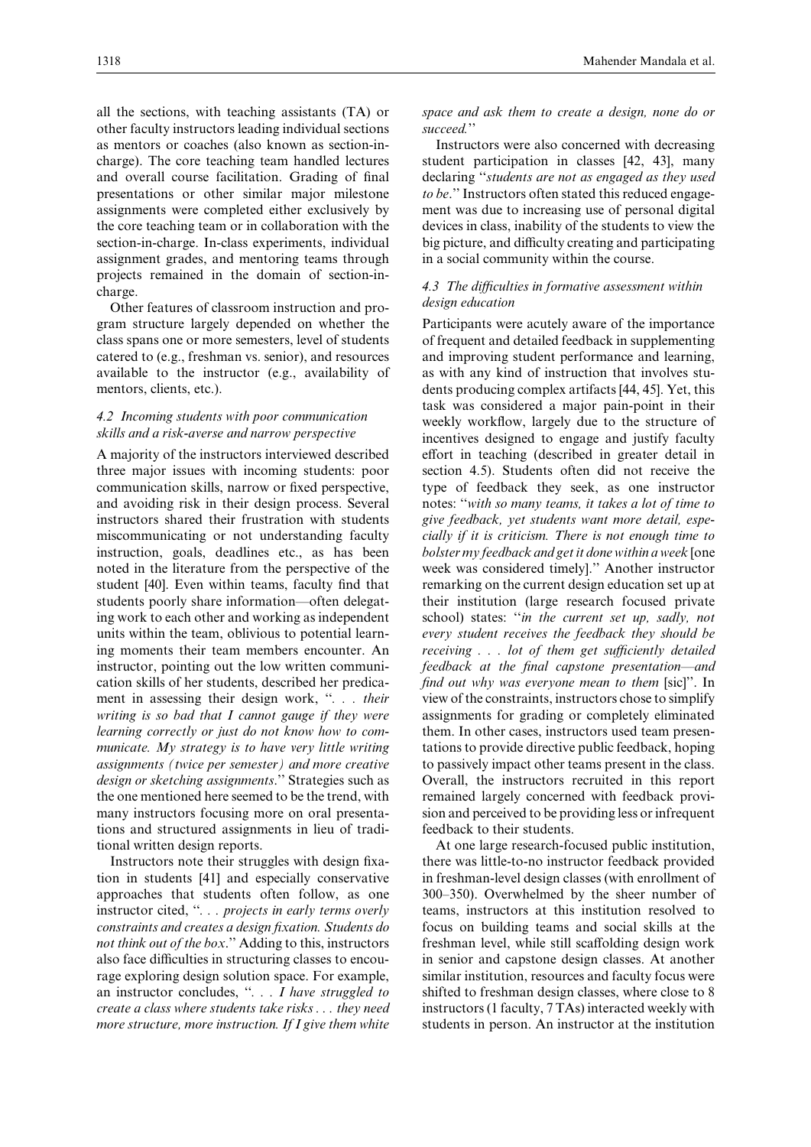all the sections, with teaching assistants (TA) or other faculty instructors leading individual sections as mentors or coaches (also known as section-incharge). The core teaching team handled lectures and overall course facilitation. Grading of final presentations or other similar major milestone assignments were completed either exclusively by the core teaching team or in collaboration with the section-in-charge. In-class experiments, individual assignment grades, and mentoring teams through projects remained in the domain of section-incharge.

Other features of classroom instruction and program structure largely depended on whether the class spans one or more semesters, level of students catered to (e.g., freshman vs. senior), and resources available to the instructor (e.g., availability of mentors, clients, etc.).

#### *4.2 Incoming students with poor communication skills and a risk-averse and narrow perspective*

A majority of the instructors interviewed described three major issues with incoming students: poor communication skills, narrow or fixed perspective, and avoiding risk in their design process. Several instructors shared their frustration with students miscommunicating or not understanding faculty instruction, goals, deadlines etc., as has been noted in the literature from the perspective of the student [40]. Even within teams, faculty find that students poorly share information—often delegating work to each other and working as independent units within the team, oblivious to potential learning moments their team members encounter. An instructor, pointing out the low written communication skills of her students, described her predicament in assessing their design work, "*... their writing is so bad that I cannot gauge if they were learning correctly or just do not know how to communicate. My strategy is to have very little writing assignments (twice per semester) and more creative design or sketching assignments*.'' Strategies such as the one mentioned here seemed to be the trend, with many instructors focusing more on oral presentations and structured assignments in lieu of traditional written design reports.

Instructors note their struggles with design fixation in students [41] and especially conservative approaches that students often follow, as one instructor cited, ''*. . . projects in early terms overly constraints and creates a design fixation. Students do not think out of the box*.'' Adding to this, instructors also face difficulties in structuring classes to encourage exploring design solution space. For example, an instructor concludes, ''*. . . I have struggled to create a class where students take risks . . . they need more structure, more instruction. If I give them white*

#### *space and ask them to create a design, none do or succeed.*''

Instructors were also concerned with decreasing student participation in classes [42, 43], many declaring ''*students are not as engaged as they used to be*.'' Instructors often stated this reduced engagement was due to increasing use of personal digital devices in class, inability of the students to view the big picture, and difficulty creating and participating in a social community within the course.

#### *4.3 The diÅculties in formative assessment within design education*

Participants were acutely aware of the importance of frequent and detailed feedback in supplementing and improving student performance and learning, as with any kind of instruction that involves students producing complex artifacts [44, 45]. Yet, this task was considered a major pain-point in their weekly workflow, largely due to the structure of incentives designed to engage and justify faculty effort in teaching (described in greater detail in section 4.5). Students often did not receive the type of feedback they seek, as one instructor notes: ''*with so many teams, it takes a lot of time to give feedback, yet students want more detail, especially if it is criticism. There is not enough time to bolster my feedback and get it done within a week* [one week was considered timely].'' Another instructor remarking on the current design education set up at their institution (large research focused private school) states: ''*in the current set up, sadly, not every student receives the feedback they should be receiving . . . lot of them get sufficiently detailed feedback at the final capstone presentation—and find out why was everyone mean to them* [sic]''. In view of the constraints, instructors chose to simplify assignments for grading or completely eliminated them. In other cases, instructors used team presentations to provide directive public feedback, hoping to passively impact other teams present in the class. Overall, the instructors recruited in this report remained largely concerned with feedback provision and perceived to be providing less or infrequent feedback to their students.

At one large research-focused public institution, there was little-to-no instructor feedback provided in freshman-level design classes (with enrollment of 300–350). Overwhelmed by the sheer number of teams, instructors at this institution resolved to focus on building teams and social skills at the freshman level, while still scaffolding design work in senior and capstone design classes. At another similar institution, resources and faculty focus were shifted to freshman design classes, where close to 8 instructors (1 faculty, 7 TAs) interacted weekly with students in person. An instructor at the institution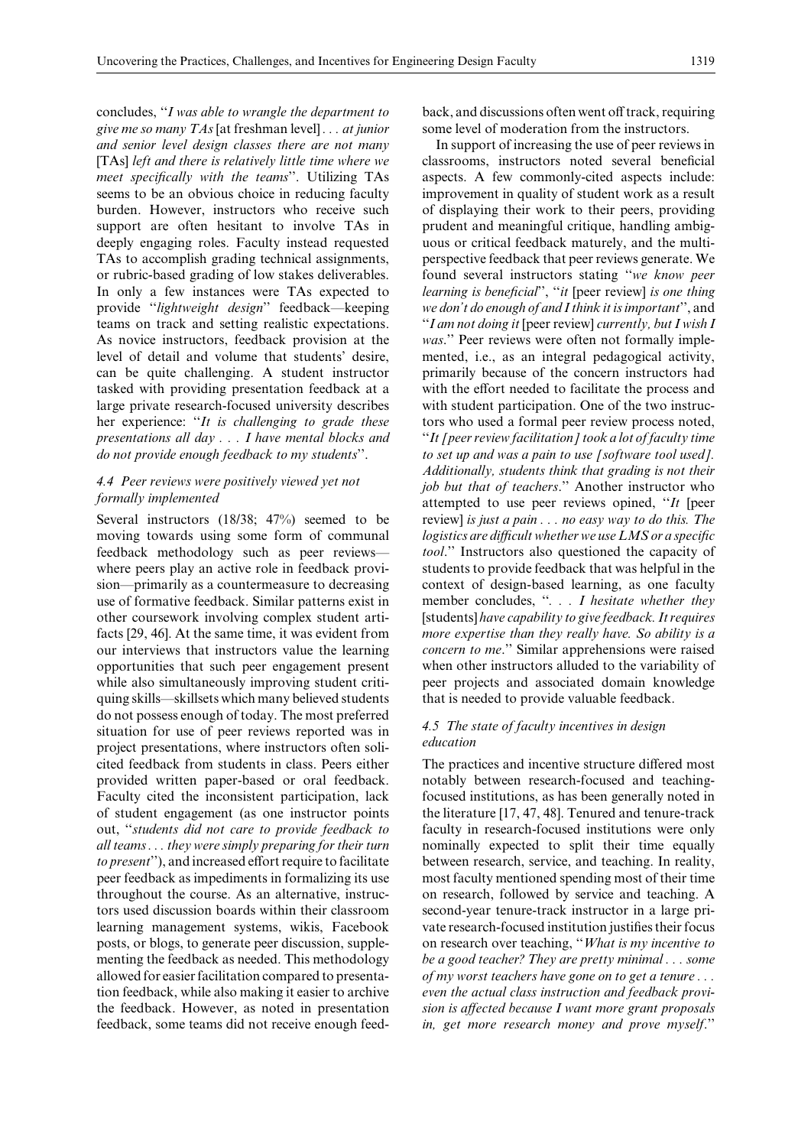concludes, ''*I was able to wrangle the department to give me so many TAs* [at freshman level] *. . . at junior and senior level design classes there are not many* [TAs] *left and there is relatively little time where we meet specifically with the teams*''. Utilizing TAs seems to be an obvious choice in reducing faculty burden. However, instructors who receive such support are often hesitant to involve TAs in deeply engaging roles. Faculty instead requested TAs to accomplish grading technical assignments, or rubric-based grading of low stakes deliverables. In only a few instances were TAs expected to provide ''*lightweight design*'' feedback—keeping teams on track and setting realistic expectations. As novice instructors, feedback provision at the level of detail and volume that students' desire, can be quite challenging. A student instructor tasked with providing presentation feedback at a large private research-focused university describes her experience: ''*It is challenging to grade these presentations all day . . . I have mental blocks and do not provide enough feedback to my students*''.

## *4.4 Peer reviews were positively viewed yet not formally implemented*

Several instructors (18/38; 47%) seemed to be moving towards using some form of communal feedback methodology such as peer reviews where peers play an active role in feedback provision—primarily as a countermeasure to decreasing use of formative feedback. Similar patterns exist in other coursework involving complex student artifacts [29, 46]. At the same time, it was evident from our interviews that instructors value the learning opportunities that such peer engagement present while also simultaneously improving student critiquing skills—skillsets which many believed students do not possess enough of today. The most preferred situation for use of peer reviews reported was in project presentations, where instructors often solicited feedback from students in class. Peers either provided written paper-based or oral feedback. Faculty cited the inconsistent participation, lack of student engagement (as one instructor points out, ''*students did not care to provide feedback to all teams . . . they were simply preparing for their turn to present*"), and increased effort require to facilitate peer feedback as impediments in formalizing its use throughout the course. As an alternative, instructors used discussion boards within their classroom learning management systems, wikis, Facebook posts, or blogs, to generate peer discussion, supplementing the feedback as needed. This methodology allowed for easier facilitation compared to presentation feedback, while also making it easier to archive the feedback. However, as noted in presentation feedback, some teams did not receive enough feedback, and discussions often went off track, requiring some level of moderation from the instructors.

In support of increasing the use of peer reviews in classrooms, instructors noted several beneficial aspects. A few commonly-cited aspects include: improvement in quality of student work as a result of displaying their work to their peers, providing prudent and meaningful critique, handling ambiguous or critical feedback maturely, and the multiperspective feedback that peer reviews generate. We found several instructors stating ''*we know peer learning is beneficial*'', ''*it* [peer review] *is one thing we don't do enough of and I think it is important*'', and ''*I am not doing it* [peer review] *currently, but I wish I was*.'' Peer reviews were often not formally implemented, i.e., as an integral pedagogical activity, primarily because of the concern instructors had with the effort needed to facilitate the process and with student participation. One of the two instructors who used a formal peer review process noted, ''*It [peer review facilitation] took a lot of faculty time to set up and was a pain to use [software tool used]. Additionally, students think that grading is not their job but that of teachers*.'' Another instructor who attempted to use peer reviews opined, ''*It* [peer review] *is just a pain . . . no easy way to do this. The logistics are diÅcult whether we use LMS or a specific tool*.'' Instructors also questioned the capacity of students to provide feedback that was helpful in the context of design-based learning, as one faculty member concludes, ''*. . . I hesitate whether they* [students] *have capability to give feedback. It requires more expertise than they really have. So ability is a concern to me*.'' Similar apprehensions were raised when other instructors alluded to the variability of peer projects and associated domain knowledge that is needed to provide valuable feedback.

## *4.5 The state of faculty incentives in design education*

The practices and incentive structure differed most notably between research-focused and teachingfocused institutions, as has been generally noted in the literature [17, 47, 48]. Tenured and tenure-track faculty in research-focused institutions were only nominally expected to split their time equally between research, service, and teaching. In reality, most faculty mentioned spending most of their time on research, followed by service and teaching. A second-year tenure-track instructor in a large private research-focused institution justifies their focus on research over teaching, ''*What is my incentive to be a good teacher? They are pretty minimal . . . some of my worst teachers have gone on to get a tenure . . . even the actual class instruction and feedback provision is aÄected because I want more grant proposals in, get more research money and prove myself*.''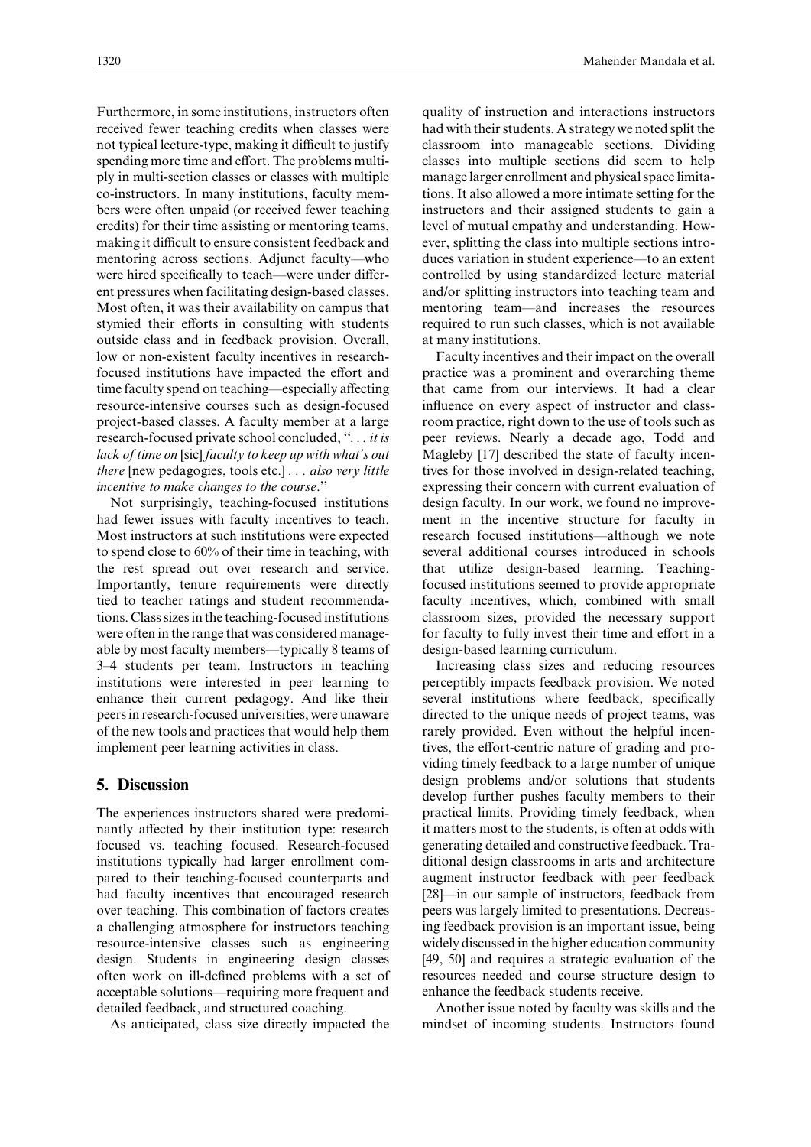Furthermore, in some institutions, instructors often received fewer teaching credits when classes were not typical lecture-type, making it difficult to justify spending more time and effort. The problems multiply in multi-section classes or classes with multiple co-instructors. In many institutions, faculty members were often unpaid (or received fewer teaching credits) for their time assisting or mentoring teams, making it difficult to ensure consistent feedback and mentoring across sections. Adjunct faculty—who were hired specifically to teach—were under different pressures when facilitating design-based classes. Most often, it was their availability on campus that stymied their efforts in consulting with students outside class and in feedback provision. Overall, low or non-existent faculty incentives in researchfocused institutions have impacted the effort and time faculty spend on teaching—especially affecting resource-intensive courses such as design-focused project-based classes. A faculty member at a large research-focused private school concluded, ''*. . . it is lack of time on* [sic] *faculty to keep up with what's out there* [new pedagogies, tools etc.] *. . . also very little incentive to make changes to the course*.''

Not surprisingly, teaching-focused institutions had fewer issues with faculty incentives to teach. Most instructors at such institutions were expected to spend close to 60% of their time in teaching, with the rest spread out over research and service. Importantly, tenure requirements were directly tied to teacher ratings and student recommendations. Class sizes in the teaching-focused institutions were often in the range that was considered manageable by most faculty members—typically 8 teams of 3–4 students per team. Instructors in teaching institutions were interested in peer learning to enhance their current pedagogy. And like their peers in research-focused universities, were unaware of the new tools and practices that would help them implement peer learning activities in class.

## **5. Discussion**

The experiences instructors shared were predominantly affected by their institution type: research focused vs. teaching focused. Research-focused institutions typically had larger enrollment compared to their teaching-focused counterparts and had faculty incentives that encouraged research over teaching. This combination of factors creates a challenging atmosphere for instructors teaching resource-intensive classes such as engineering design. Students in engineering design classes often work on ill-defined problems with a set of acceptable solutions—requiring more frequent and detailed feedback, and structured coaching.

As anticipated, class size directly impacted the

quality of instruction and interactions instructors had with their students. A strategy we noted split the classroom into manageable sections. Dividing classes into multiple sections did seem to help manage larger enrollment and physical space limitations. It also allowed a more intimate setting for the instructors and their assigned students to gain a level of mutual empathy and understanding. However, splitting the class into multiple sections introduces variation in student experience—to an extent controlled by using standardized lecture material and/or splitting instructors into teaching team and mentoring team—and increases the resources required to run such classes, which is not available at many institutions.

Faculty incentives and their impact on the overall practice was a prominent and overarching theme that came from our interviews. It had a clear influence on every aspect of instructor and classroom practice, right down to the use of tools such as peer reviews. Nearly a decade ago, Todd and Magleby [17] described the state of faculty incentives for those involved in design-related teaching, expressing their concern with current evaluation of design faculty. In our work, we found no improvement in the incentive structure for faculty in research focused institutions—although we note several additional courses introduced in schools that utilize design-based learning. Teachingfocused institutions seemed to provide appropriate faculty incentives, which, combined with small classroom sizes, provided the necessary support for faculty to fully invest their time and effort in a design-based learning curriculum.

Increasing class sizes and reducing resources perceptibly impacts feedback provision. We noted several institutions where feedback, specifically directed to the unique needs of project teams, was rarely provided. Even without the helpful incentives, the effort-centric nature of grading and providing timely feedback to a large number of unique design problems and/or solutions that students develop further pushes faculty members to their practical limits. Providing timely feedback, when it matters most to the students, is often at odds with generating detailed and constructive feedback. Traditional design classrooms in arts and architecture augment instructor feedback with peer feedback [28]—in our sample of instructors, feedback from peers was largely limited to presentations. Decreasing feedback provision is an important issue, being widely discussed in the higher education community [49, 50] and requires a strategic evaluation of the resources needed and course structure design to enhance the feedback students receive.

Another issue noted by faculty was skills and the mindset of incoming students. Instructors found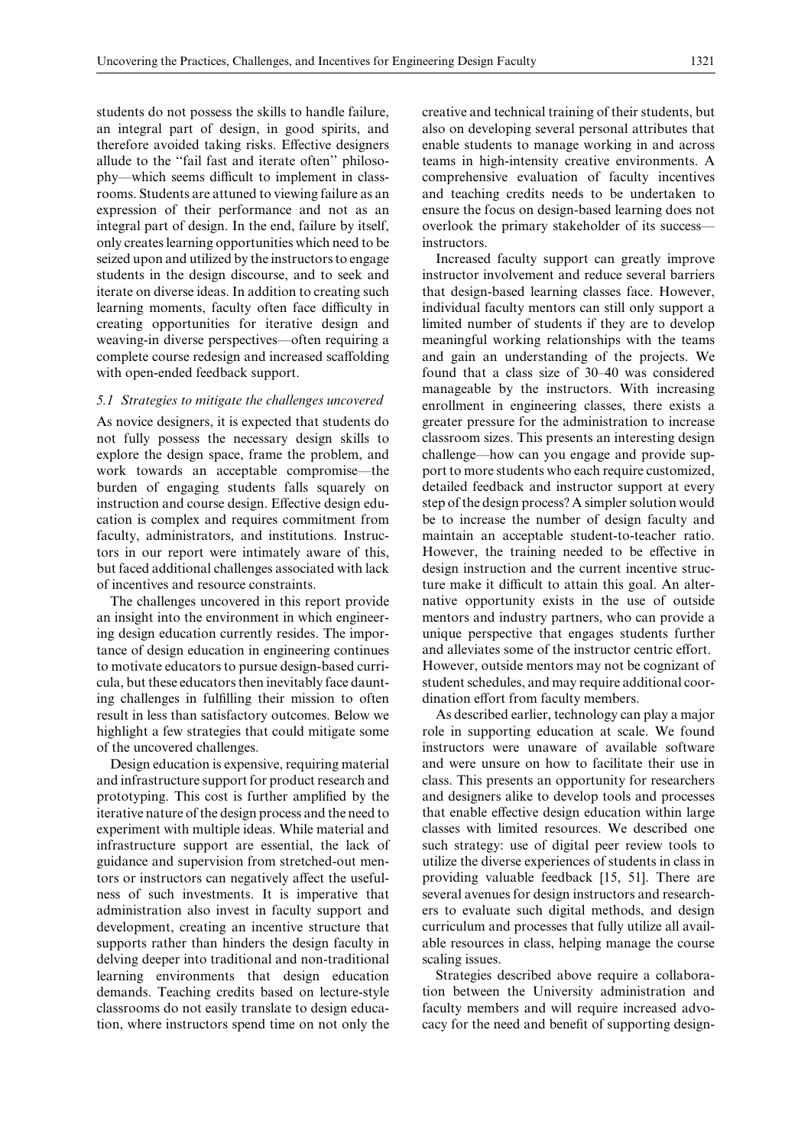students do not possess the skills to handle failure, an integral part of design, in good spirits, and therefore avoided taking risks. Effective designers allude to the ''fail fast and iterate often'' philosophy—which seems difficult to implement in classrooms. Students are attuned to viewing failure as an expression of their performance and not as an integral part of design. In the end, failure by itself, only creates learning opportunities which need to be seized upon and utilized by the instructors to engage students in the design discourse, and to seek and iterate on diverse ideas. In addition to creating such learning moments, faculty often face difficulty in creating opportunities for iterative design and weaving-in diverse perspectives—often requiring a complete course redesign and increased scaffolding with open-ended feedback support.

#### *5.1 Strategies to mitigate the challenges uncovered*

As novice designers, it is expected that students do not fully possess the necessary design skills to explore the design space, frame the problem, and work towards an acceptable compromise—the burden of engaging students falls squarely on instruction and course design. Effective design education is complex and requires commitment from faculty, administrators, and institutions. Instructors in our report were intimately aware of this, but faced additional challenges associated with lack of incentives and resource constraints.

The challenges uncovered in this report provide an insight into the environment in which engineering design education currently resides. The importance of design education in engineering continues to motivate educators to pursue design-based curricula, but these educators then inevitably face daunting challenges in fulfilling their mission to often result in less than satisfactory outcomes. Below we highlight a few strategies that could mitigate some of the uncovered challenges.

Design education is expensive, requiring material and infrastructure support for product research and prototyping. This cost is further amplified by the iterative nature of the design process and the need to experiment with multiple ideas. While material and infrastructure support are essential, the lack of guidance and supervision from stretched-out mentors or instructors can negatively affect the usefulness of such investments. It is imperative that administration also invest in faculty support and development, creating an incentive structure that supports rather than hinders the design faculty in delving deeper into traditional and non-traditional learning environments that design education demands. Teaching credits based on lecture-style classrooms do not easily translate to design education, where instructors spend time on not only the creative and technical training of their students, but also on developing several personal attributes that enable students to manage working in and across teams in high-intensity creative environments. A comprehensive evaluation of faculty incentives and teaching credits needs to be undertaken to ensure the focus on design-based learning does not overlook the primary stakeholder of its success instructors.

Increased faculty support can greatly improve instructor involvement and reduce several barriers that design-based learning classes face. However, individual faculty mentors can still only support a limited number of students if they are to develop meaningful working relationships with the teams and gain an understanding of the projects. We found that a class size of 30–40 was considered manageable by the instructors. With increasing enrollment in engineering classes, there exists a greater pressure for the administration to increase classroom sizes. This presents an interesting design challenge—how can you engage and provide support to more students who each require customized, detailed feedback and instructor support at every step of the design process? A simpler solution would be to increase the number of design faculty and maintain an acceptable student-to-teacher ratio. However, the training needed to be effective in design instruction and the current incentive structure make it difficult to attain this goal. An alternative opportunity exists in the use of outside mentors and industry partners, who can provide a unique perspective that engages students further and alleviates some of the instructor centric effort. However, outside mentors may not be cognizant of student schedules, and may require additional coordination effort from faculty members.

As described earlier, technology can play a major role in supporting education at scale. We found instructors were unaware of available software and were unsure on how to facilitate their use in class. This presents an opportunity for researchers and designers alike to develop tools and processes that enable effective design education within large classes with limited resources. We described one such strategy: use of digital peer review tools to utilize the diverse experiences of students in class in providing valuable feedback [15, 51]. There are several avenues for design instructors and researchers to evaluate such digital methods, and design curriculum and processes that fully utilize all available resources in class, helping manage the course scaling issues.

Strategies described above require a collaboration between the University administration and faculty members and will require increased advocacy for the need and benefit of supporting design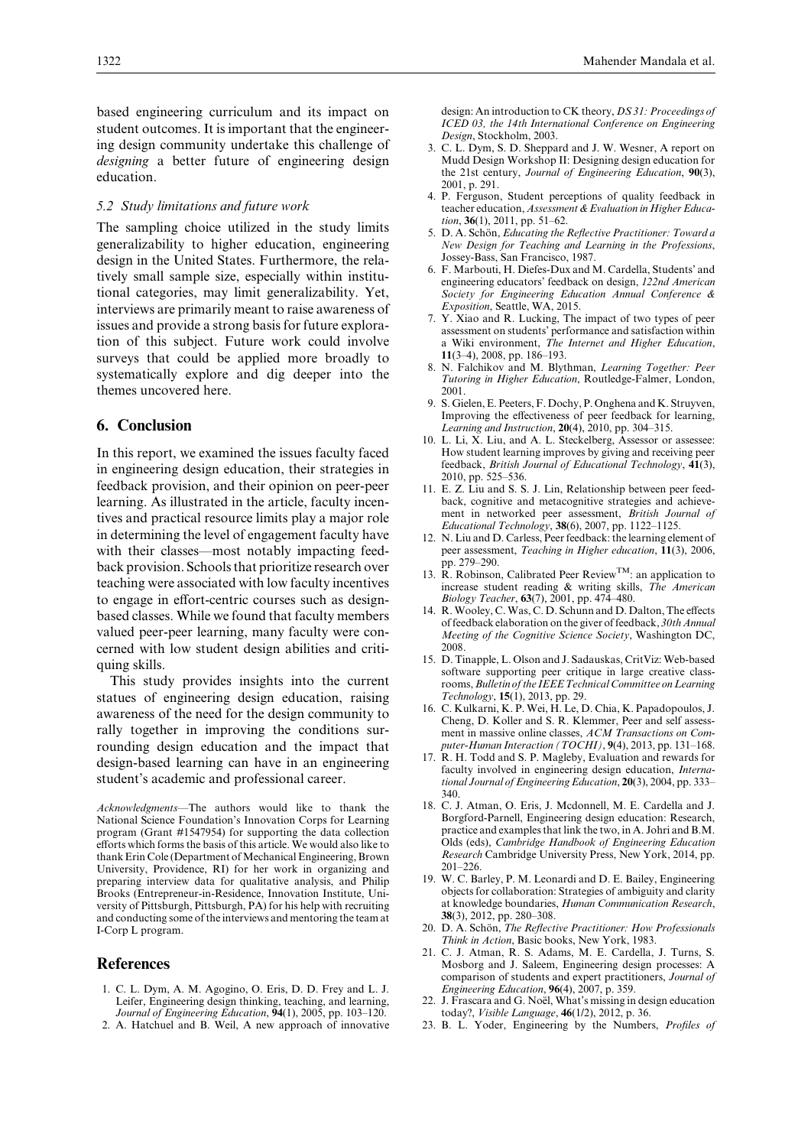based engineering curriculum and its impact on student outcomes. It is important that the engineering design community undertake this challenge of *designing* a better future of engineering design education.

#### *5.2 Study limitations and future work*

The sampling choice utilized in the study limits generalizability to higher education, engineering design in the United States. Furthermore, the relatively small sample size, especially within institutional categories, may limit generalizability. Yet, interviews are primarily meant to raise awareness of issues and provide a strong basis for future exploration of this subject. Future work could involve surveys that could be applied more broadly to systematically explore and dig deeper into the themes uncovered here.

## **6. Conclusion**

In this report, we examined the issues faculty faced in engineering design education, their strategies in feedback provision, and their opinion on peer-peer learning. As illustrated in the article, faculty incentives and practical resource limits play a major role in determining the level of engagement faculty have with their classes—most notably impacting feedback provision. Schools that prioritize research over teaching were associated with low faculty incentives to engage in effort-centric courses such as designbased classes. While we found that faculty members valued peer-peer learning, many faculty were concerned with low student design abilities and critiquing skills.

This study provides insights into the current statues of engineering design education, raising awareness of the need for the design community to rally together in improving the conditions surrounding design education and the impact that design-based learning can have in an engineering student's academic and professional career.

*Acknowledgments*—The authors would like to thank the National Science Foundation's Innovation Corps for Learning program (Grant #1547954) for supporting the data collection efforts which forms the basis of this article. We would also like to thank Erin Cole (Department of Mechanical Engineering, Brown University, Providence, RI) for her work in organizing and preparing interview data for qualitative analysis, and Philip Brooks (Entrepreneur-in-Residence, Innovation Institute, University of Pittsburgh, Pittsburgh, PA) for his help with recruiting and conducting some of the interviews and mentoring the team at I-Corp L program.

#### **References**

- 1. C. L. Dym, A. M. Agogino, O. Eris, D. D. Frey and L. J. Leifer, Engineering design thinking, teaching, and learning, *Journal of Engineering Education*, **94**(1), 2005, pp. 103–120.
- 2. A. Hatchuel and B. Weil, A new approach of innovative

design: An introduction to CK theory, *DS 31: Proceedings of ICED 03, the 14th International Conference on Engineering Design*, Stockholm, 2003.

- 3. C. L. Dym, S. D. Sheppard and J. W. Wesner, A report on Mudd Design Workshop II: Designing design education for the 21st century, *Journal of Engineering Education*, **90**(3), 2001, p. 291.
- 4. P. Ferguson, Student perceptions of quality feedback in teacher education, *Assessment & Evaluation in Higher Education*, **36**(1), 2011, pp. 51–62.
- 5. D. A. Schön, *Educating the Reflective Practitioner: Toward a New Design for Teaching and Learning in the Professions*, Jossey-Bass, San Francisco, 1987.
- 6. F. Marbouti, H. Diefes-Dux and M. Cardella, Students' and engineering educators' feedback on design, *122nd American Society for Engineering Education Annual Conference & Exposition*, Seattle, WA, 2015.
- 7. Y. Xiao and R. Lucking, The impact of two types of peer assessment on students' performance and satisfaction within a Wiki environment, *The Internet and Higher Education*, **11**(3–4), 2008, pp. 186–193.
- 8. N. Falchikov and M. Blythman, *Learning Together: Peer Tutoring in Higher Education*, Routledge-Falmer, London, 2001.
- 9. S. Gielen, E. Peeters, F. Dochy, P. Onghena and K. Struyven, Improving the effectiveness of peer feedback for learning, *Learning and Instruction*, **20**(4), 2010, pp. 304–315.
- 10. L. Li, X. Liu, and A. L. Steckelberg, Assessor or assessee: How student learning improves by giving and receiving peer feedback, *British Journal of Educational Technology*, **41**(3), 2010, pp. 525–536.
- 11. E. Z. Liu and S. S. J. Lin, Relationship between peer feedback, cognitive and metacognitive strategies and achievement in networked peer assessment, *British Journal of Educational Technology*, **38**(6), 2007, pp. 1122–1125.
- 12. N. Liu and D. Carless, Peer feedback: the learning element of peer assessment, *Teaching in Higher education*, **11**(3), 2006, pp. 279–290.
- 13. R. Robinson, Calibrated Peer Review<sup>TM</sup>: an application to increase student reading & writing skills, *The American Biology Teacher*, **63**(7), 2001, pp. 474–480.
- 14. R. Wooley, C. Was, C. D. Schunn and D. Dalton, The effects of feedback elaboration on the giver of feedback, *30th Annual Meeting of the Cognitive Science Society*, Washington DC, 2008.
- 15. D. Tinapple, L. Olson and J. Sadauskas, CritViz: Web-based software supporting peer critique in large creative classrooms,*Bulletin of the IEEE Technical Committee on Learning Technology*, **15**(1), 2013, pp. 29.
- 16. C. Kulkarni, K. P. Wei, H. Le, D. Chia, K. Papadopoulos, J. Cheng, D. Koller and S. R. Klemmer, Peer and self assessment in massive online classes, *ACM Transactions on Computer-Human Interaction (TOCHI)*, **9**(4), 2013, pp. 131–168.
- 17. R. H. Todd and S. P. Magleby, Evaluation and rewards for faculty involved in engineering design education, *International Journal of Engineering Education*, **20**(3), 2004, pp. 333– 340.
- 18. C. J. Atman, O. Eris, J. Mcdonnell, M. E. Cardella and J. Borgford-Parnell, Engineering design education: Research, practice and examples that link the two, in A. Johri and B.M. Olds (eds), *Cambridge Handbook of Engineering Education Research* Cambridge University Press, New York, 2014, pp. 201–226.
- 19. W. C. Barley, P. M. Leonardi and D. E. Bailey, Engineering objects for collaboration: Strategies of ambiguity and clarity at knowledge boundaries, *Human Communication Research*, **38**(3), 2012, pp. 280–308.
- 20. D. A. Schön, *The Reflective Practitioner: How Professionals Think in Action*, Basic books, New York, 1983.
- 21. C. J. Atman, R. S. Adams, M. E. Cardella, J. Turns, S. Mosborg and J. Saleem, Engineering design processes: A comparison of students and expert practitioners, *Journal of Engineering Education*, **96**(4), 2007, p. 359.
- 22. J. Frascara and G. Noël, What's missing in design education today?, *Visible Language*, **46**(1/2), 2012, p. 36.
- 23. B. L. Yoder, Engineering by the Numbers, *Profiles of*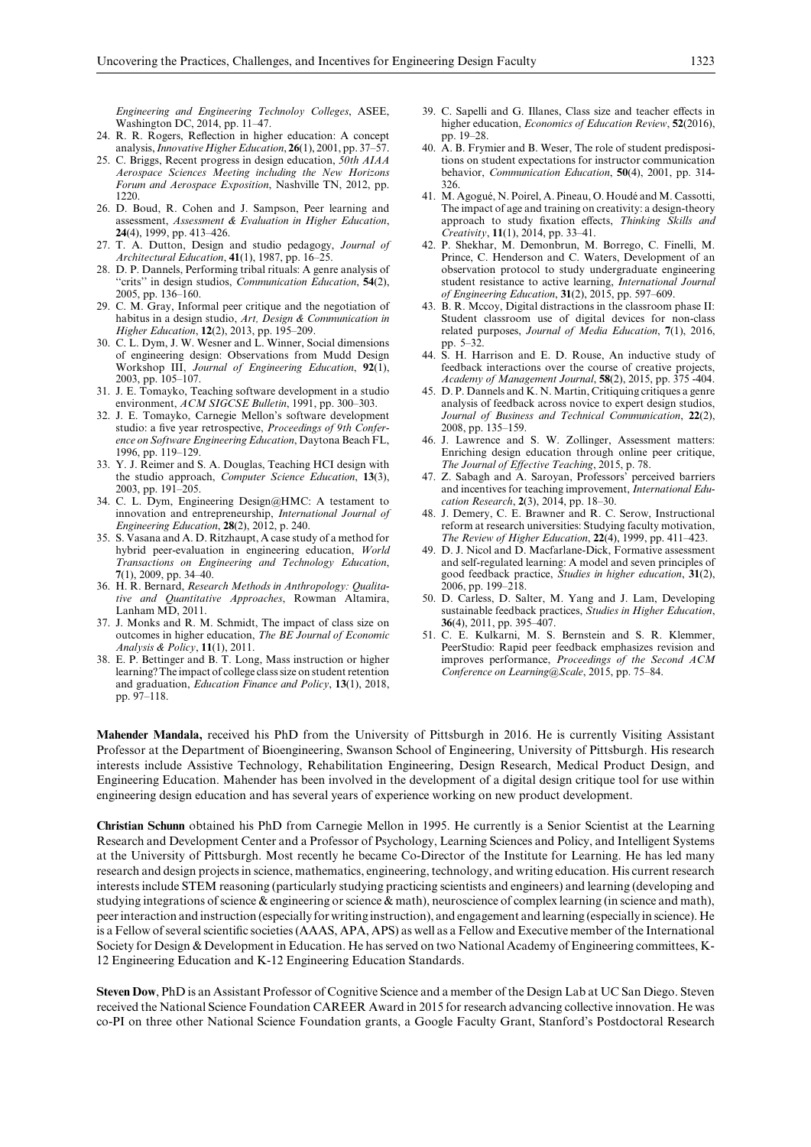*Engineering and Engineering Technoloy Colleges*, ASEE, Washington DC, 2014, pp. 11–47.

- 24. R. R. Rogers, Reflection in higher education: A concept analysis,*Innovative Higher Education*, **26**(1), 2001, pp. 37–57.
- 25. C. Briggs, Recent progress in design education, *50th AIAA Aerospace Sciences Meeting including the New Horizons Forum and Aerospace Exposition*, Nashville TN, 2012, pp. 1220.
- 26. D. Boud, R. Cohen and J. Sampson, Peer learning and assessment, *Assessment & Evaluation in Higher Education*, **24**(4), 1999, pp. 413–426.
- 27. T. A. Dutton, Design and studio pedagogy, *Journal of Architectural Education*, **41**(1), 1987, pp. 16–25.
- 28. D. P. Dannels, Performing tribal rituals: A genre analysis of 'crits" in design studios, *Communication Education*, **54**(2), 2005, pp. 136–160.
- 29. C. M. Gray, Informal peer critique and the negotiation of habitus in a design studio, *Art, Design & Communication in Higher Education*, **12**(2), 2013, pp. 195–209.
- 30. C. L. Dym, J. W. Wesner and L. Winner, Social dimensions of engineering design: Observations from Mudd Design Workshop III, *Journal of Engineering Education*, **92**(1), 2003, pp. 105–107.
- 31. J. E. Tomayko, Teaching software development in a studio environment, *ACM SIGCSE Bulletin*, 1991, pp. 300–303.
- 32. J. E. Tomayko, Carnegie Mellon's software development studio: a five year retrospective, *Proceedings of 9th Conference on Software Engineering Education*, Daytona Beach FL, 1996, pp. 119–129.
- 33. Y. J. Reimer and S. A. Douglas, Teaching HCI design with the studio approach, *Computer Science Education*, **13**(3), 2003, pp. 191–205.
- 34. C. L. Dym, Engineering Design@HMC: A testament to innovation and entrepreneurship, *International Journal of Engineering Education*, **28**(2), 2012, p. 240.
- 35. S. Vasana and A. D. Ritzhaupt, A case study of a method for hybrid peer-evaluation in engineering education, *World Transactions on Engineering and Technology Education*, **7**(1), 2009, pp. 34–40.
- 36. H. R. Bernard, *Research Methods in Anthropology: Qualitative and Quantitative Approaches*, Rowman Altamira, Lanham MD, 2011.
- 37. J. Monks and R. M. Schmidt, The impact of class size on outcomes in higher education, *The BE Journal of Economic Analysis & Policy*, **11**(1), 2011.
- 38. E. P. Bettinger and B. T. Long, Mass instruction or higher learning? The impact of college class size on student retention and graduation, *Education Finance and Policy*, **13**(1), 2018, pp. 97–118.
- 39. C. Sapelli and G. Illanes, Class size and teacher effects in higher education, *Economics of Education Review*, **52**(2016), pp. 19–28.
- 40. A. B. Frymier and B. Weser, The role of student predispositions on student expectations for instructor communication behavior, *Communication Education*, **50**(4), 2001, pp. 314- 326.
- 41. M. Agogué, N. Poirel, A. Pineau, O. Houdé and M. Cassotti, The impact of age and training on creativity: a design-theory approach to study fixation effects, *Thinking Skills and Creativity*, **11**(1), 2014, pp. 33–41.
- 42. P. Shekhar, M. Demonbrun, M. Borrego, C. Finelli, M. Prince, C. Henderson and C. Waters, Development of an observation protocol to study undergraduate engineering student resistance to active learning, *International Journal of Engineering Education*, **31**(2), 2015, pp. 597–609.
- 43. B. R. Mccoy, Digital distractions in the classroom phase II: Student classroom use of digital devices for non-class related purposes, *Journal of Media Education*, **7**(1), 2016, pp. 5–32.
- 44. S. H. Harrison and E. D. Rouse, An inductive study of feedback interactions over the course of creative projects, *Academy of Management Journal*, **58**(2), 2015, pp. 375 -404.
- 45. D. P. Dannels and K. N. Martin, Critiquing critiques a genre analysis of feedback across novice to expert design studios, *Journal of Business and Technical Communication*, **22**(2), 2008, pp. 135–159.
- 46. J. Lawrence and S. W. Zollinger, Assessment matters: Enriching design education through online peer critique, *The Journal of EÄective Teaching*, 2015, p. 78.
- 47. Z. Sabagh and A. Saroyan, Professors' perceived barriers and incentives for teaching improvement, *International Education Research*, **2**(3), 2014, pp. 18–30.
- 48. J. Demery, C. E. Brawner and R. C. Serow, Instructional reform at research universities: Studying faculty motivation, *The Review of Higher Education*, **22**(4), 1999, pp. 411–423.
- 49. D. J. Nicol and D. Macfarlane-Dick, Formative assessment and self-regulated learning: A model and seven principles of good feedback practice, *Studies in higher education*, **31**(2), 2006, pp. 199–218.
- 50. D. Carless, D. Salter, M. Yang and J. Lam, Developing sustainable feedback practices, *Studies in Higher Education*, **36**(4), 2011, pp. 395–407.
- 51. C. E. Kulkarni, M. S. Bernstein and S. R. Klemmer, PeerStudio: Rapid peer feedback emphasizes revision and improves performance, *Proceedings of the Second ACM Conference on Learning@Scale*, 2015, pp. 75–84.

**Mahender Mandala,** received his PhD from the University of Pittsburgh in 2016. He is currently Visiting Assistant Professor at the Department of Bioengineering, Swanson School of Engineering, University of Pittsburgh. His research interests include Assistive Technology, Rehabilitation Engineering, Design Research, Medical Product Design, and Engineering Education. Mahender has been involved in the development of a digital design critique tool for use within engineering design education and has several years of experience working on new product development.

**Christian Schunn** obtained his PhD from Carnegie Mellon in 1995. He currently is a Senior Scientist at the Learning Research and Development Center and a Professor of Psychology, Learning Sciences and Policy, and Intelligent Systems at the University of Pittsburgh. Most recently he became Co-Director of the Institute for Learning. He has led many research and design projects in science, mathematics, engineering, technology, and writing education. His current research interests include STEM reasoning (particularly studying practicing scientists and engineers) and learning (developing and studying integrations of science & engineering or science & math), neuroscience of complex learning (in science and math), peer interaction and instruction (especially for writing instruction), and engagement and learning (especially in science). He is a Fellow of several scientific societies (AAAS, APA, APS) as well as a Fellow and Executive member of the International Society for Design & Development in Education. He has served on two National Academy of Engineering committees, K-12 Engineering Education and K-12 Engineering Education Standards.

**Steven Dow**, PhD is an Assistant Professor of Cognitive Science and a member of the Design Lab at UC San Diego. Steven received the National Science Foundation CAREER Award in 2015 for research advancing collective innovation. He was co-PI on three other National Science Foundation grants, a Google Faculty Grant, Stanford's Postdoctoral Research